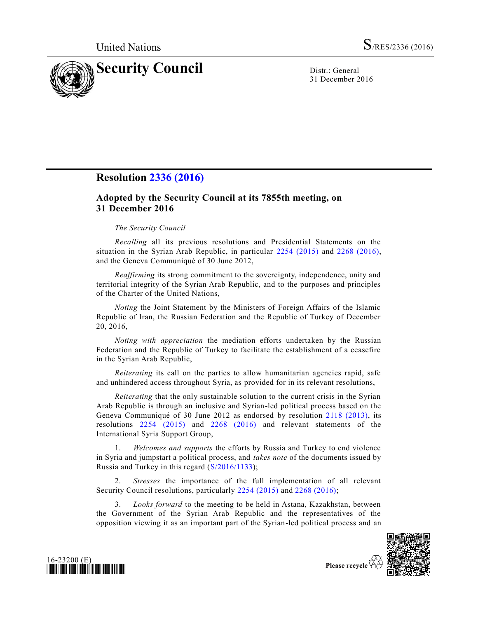

31 December 2016

## **Resolution [2336 \(2016\)](http://undocs.org/S/RES/2336(2016))**

## **Adopted by the Security Council at its 7855th meeting, on 31 December 2016**

## *The Security Council*

*Recalling* all its previous resolutions and Presidential Statements on the situation in the Syrian Arab Republic, in particular [2254 \(2015\)](http://undocs.org/S/RES/2254(2015)) and [2268 \(2016\),](http://undocs.org/S/RES/2268(2016)) and the Geneva Communiqué of 30 June 2012,

*Reaffirming* its strong commitment to the sovereignty, independence, unity and territorial integrity of the Syrian Arab Republic, and to the purposes and principles of the Charter of the United Nations,

*Noting* the Joint Statement by the Ministers of Foreign Affairs of the Islamic Republic of Iran, the Russian Federation and the Republic of Turkey of December 20, 2016,

*Noting with appreciation* the mediation efforts undertaken by the Russian Federation and the Republic of Turkey to facilitate the establishment of a ceasefire in the Syrian Arab Republic,

*Reiterating* its call on the parties to allow humanitarian agencies rapid, safe and unhindered access throughout Syria, as provided for in its relevant resolutions,

*Reiterating* that the only sustainable solution to the current crisis in the Syrian Arab Republic is through an inclusive and Syrian-led political process based on the Geneva Communiqué of 30 June 2012 as endorsed by resolution [2118 \(2013\),](http://undocs.org/S/RES/2118(2013)) its resolutions [2254 \(2015\)](http://undocs.org/S/RES/2254(2015)) and [2268 \(2016\)](http://undocs.org/S/RES/2268(2016)) and relevant statements of the International Syria Support Group,

1. *Welcomes and supports* the efforts by Russia and Turkey to end violence in Syria and jumpstart a political process, and *takes note* of the documents issued by Russia and Turkey in this regard [\(S/2016/1133\)](http://undocs.org/S/2016/1133);

2. *Stresses* the importance of the full implementation of all relevant Security Council resolutions, particularly [2254 \(2015\)](http://undocs.org/S/RES/2254(2015)) and [2268 \(2016\);](http://undocs.org/S/RES/2268(2016))

3. *Looks forward* to the meeting to be held in Astana, Kazakhstan, between the Government of the Syrian Arab Republic and the representatives of the opposition viewing it as an important part of the Syrian-led political process and an



16-23200 (E) *\*1623200\**

Please recycle